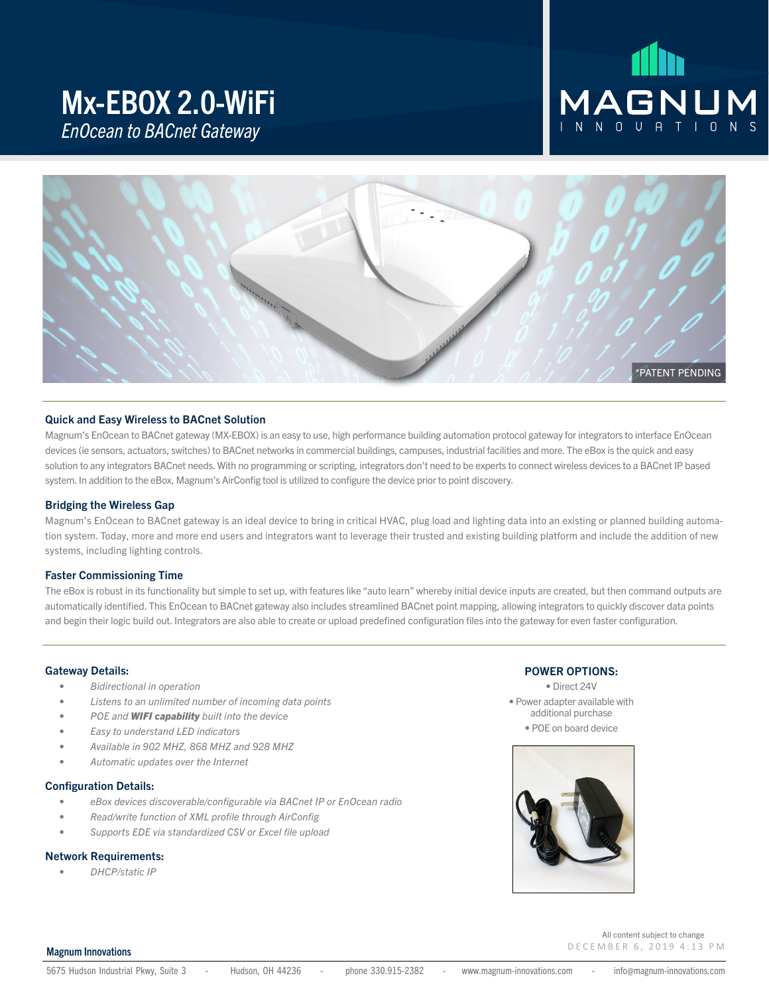### Mx-EBOX 2.0-WiFi *EnOcean to BACnet Gateway*

# MAGNUM



#### Quick and Easy Wireless to BACnet Solution

Magnum's EnOcean to BACnet gateway (MX-EBOX) is an easy to use, high performance building automation protocol gateway for integrators to interface EnOcean devices (ie sensors, actuators, switches) to BACnet networks in commercial buildings, campuses, industrial facilities and more. The eBox is the quick and easy solution to any integrators BACnet needs. With no programming or scripting, integrators don't need to be experts to connect wireless devices to a BACnet IP based system. In addition to the eBox, Magnum's AirConfig tool is utilized to configure the device prior to point discovery.

#### Bridging the Wireless Gap

Magnum's EnOcean to BACnet gateway is an ideal device to bring in critical HVAC, plug load and lighting data into an existing or planned building automation system. Today, more and more end users and integrators want to leverage their trusted and existing building platform and include the addition of new systems, including lighting controls.

#### Faster Commissioning Time

The eBox is robust in its functionality but simple to set up, with features like "auto learn" whereby initial device inputs are created, but then command outputs are automatically identified. This EnOcean to BACnet gateway also includes streamlined BACnet point mapping, allowing integrators to quickly discover data points and begin their logic build out. Integrators are also able to create or upload predefined configuration files into the gateway for even faster configuration.

#### Gateway Details:

- *• Bidirectional in operation*
- *• Listens to an unlimited number of incoming data points*
- *• POE and WIFI capability built into the device*
- *• Easy to understand LED indicators*
- *• Available in 902 MHZ, 868 MHZ and 928 MHZ*
- *• Automatic updates over the Internet*

#### Configuration Details:

- *• eBox devices discoverable/configurable via BACnet IP or EnOcean radio*
- *• Read/write function of XML profile through AirConfig*
- *• Supports EDE via standardized CSV or Excel file upload*

#### Network Requirements:

*• DHCP/static IP*

#### POWER OPTIONS:

• Direct 24V • Power adapter available with additional purchase • POE on board device



#### Magnum Innovations

DECEMBER 6, 2019 4:13 PM

All content subject to change